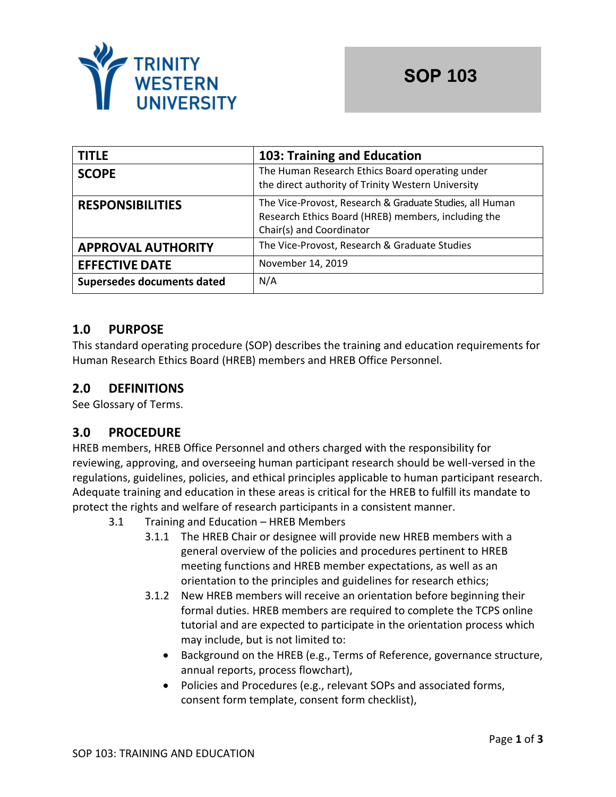

| <b>TITLE</b>               | 103: Training and Education                                                                                                                 |  |
|----------------------------|---------------------------------------------------------------------------------------------------------------------------------------------|--|
| <b>SCOPE</b>               | The Human Research Ethics Board operating under<br>the direct authority of Trinity Western University                                       |  |
| <b>RESPONSIBILITIES</b>    | The Vice-Provost, Research & Graduate Studies, all Human<br>Research Ethics Board (HREB) members, including the<br>Chair(s) and Coordinator |  |
| <b>APPROVAL AUTHORITY</b>  | The Vice-Provost, Research & Graduate Studies                                                                                               |  |
| <b>EFFECTIVE DATE</b>      | November 14, 2019                                                                                                                           |  |
| Supersedes documents dated | N/A                                                                                                                                         |  |

# **1.0 PURPOSE**

This standard operating procedure (SOP) describes the training and education requirements for Human Research Ethics Board (HREB) members and HREB Office Personnel.

# **2.0 DEFINITIONS**

See Glossary of Terms.

## **3.0 PROCEDURE**

HREB members, HREB Office Personnel and others charged with the responsibility for reviewing, approving, and overseeing human participant research should be well-versed in the regulations, guidelines, policies, and ethical principles applicable to human participant research. Adequate training and education in these areas is critical for the HREB to fulfill its mandate to protect the rights and welfare of research participants in a consistent manner.

- 3.1 Training and Education HREB Members
	- 3.1.1 The HREB Chair or designee will provide new HREB members with a general overview of the policies and procedures pertinent to HREB meeting functions and HREB member expectations, as well as an orientation to the principles and guidelines for research ethics;
	- 3.1.2 New HREB members will receive an orientation before beginning their formal duties. HREB members are required to complete the TCPS online tutorial and are expected to participate in the orientation process which may include, but is not limited to:
		- Background on the HREB (e.g., Terms of Reference, governance structure, annual reports, process flowchart),
		- Policies and Procedures (e.g., relevant SOPs and associated forms, consent form template, consent form checklist),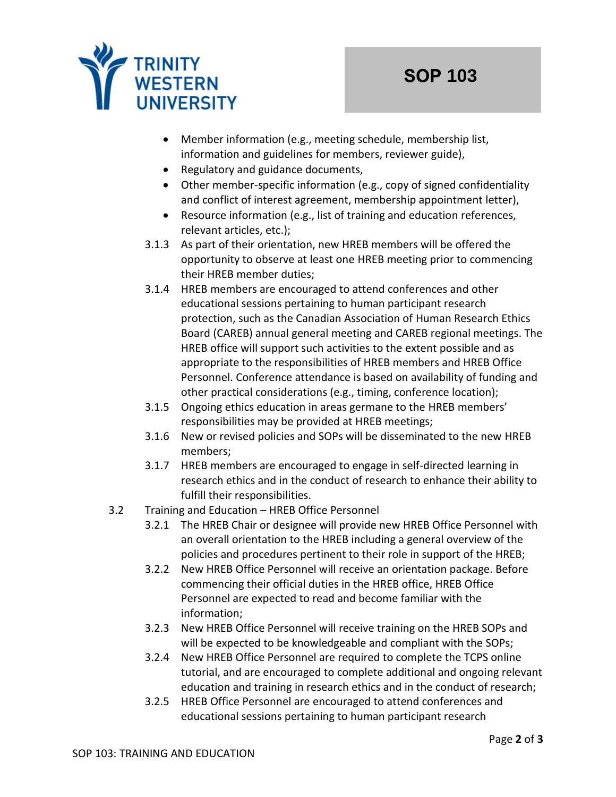

- Member information (e.g., meeting schedule, membership list, information and guidelines for members, reviewer guide),
- Regulatory and guidance documents,
- Other member-specific information (e.g., copy of signed confidentiality and conflict of interest agreement, membership appointment letter),
- Resource information (e.g., list of training and education references, relevant articles, etc.);
- 3.1.3 As part of their orientation, new HREB members will be offered the opportunity to observe at least one HREB meeting prior to commencing their HREB member duties;
- 3.1.4 HREB members are encouraged to attend conferences and other educational sessions pertaining to human participant research protection, such as the Canadian Association of Human Research Ethics Board (CAREB) annual general meeting and CAREB regional meetings. The HREB office will support such activities to the extent possible and as appropriate to the responsibilities of HREB members and HREB Office Personnel. Conference attendance is based on availability of funding and other practical considerations (e.g., timing, conference location);
- 3.1.5 Ongoing ethics education in areas germane to the HREB members' responsibilities may be provided at HREB meetings;
- 3.1.6 New or revised policies and SOPs will be disseminated to the new HREB members;
- 3.1.7 HREB members are encouraged to engage in self-directed learning in research ethics and in the conduct of research to enhance their ability to fulfill their responsibilities.
- 3.2 Training and Education HREB Office Personnel
	- 3.2.1 The HREB Chair or designee will provide new HREB Office Personnel with an overall orientation to the HREB including a general overview of the policies and procedures pertinent to their role in support of the HREB;
	- 3.2.2 New HREB Office Personnel will receive an orientation package. Before commencing their official duties in the HREB office, HREB Office Personnel are expected to read and become familiar with the information;
	- 3.2.3 New HREB Office Personnel will receive training on the HREB SOPs and will be expected to be knowledgeable and compliant with the SOPs;
	- 3.2.4 New HREB Office Personnel are required to complete the TCPS online tutorial, and are encouraged to complete additional and ongoing relevant education and training in research ethics and in the conduct of research;
	- 3.2.5 HREB Office Personnel are encouraged to attend conferences and educational sessions pertaining to human participant research